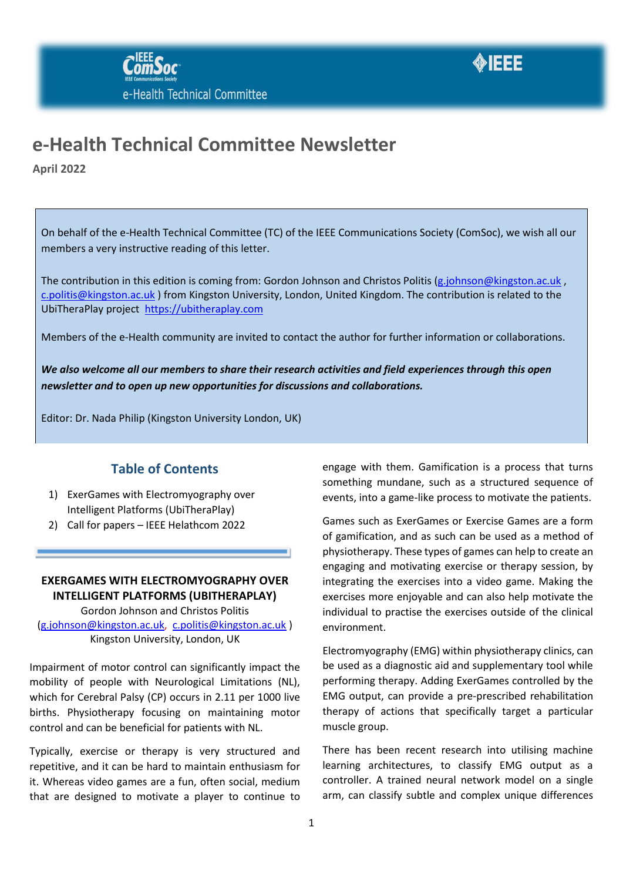



## **e-Health Technical Committee Newsletter**

**April 2022**

On behalf of the e-Health Technical Committee (TC) of the IEEE Communications Society (ComSoc), we wish all our members a very instructive reading of this letter.

The contribution in this edition is coming from: Gordon Johnson and Christos Politis [\(g.johnson@kingston.ac.uk](mailto:g.johnson@kingston.ac.uk), [c.politis@kingston.ac.uk](mailto:c.politis@kingston.ac.uk) ) from Kingston University, London, United Kingdom. The contribution is related to the UbiTheraPlay project [https://ubitheraplay.com](https://ubitheraplay.com/)

Members of the e-Health community are invited to contact the author for further information or collaborations.

*We also welcome all our members to share their research activities and field experiences through this open newsletter and to open up new opportunities for discussions and collaborations.*

Editor: Dr. Nada Philip (Kingston University London, UK)

### **Table of Contents**

- 1) ExerGames with Electromyography over Intelligent Platforms (UbiTheraPlay)
- 2) Call for papers IEEE Helathcom 2022

#### **EXERGAMES WITH ELECTROMYOGRAPHY OVER INTELLIGENT PLATFORMS (UBITHERAPLAY)**

Gordon Johnson and Christos Politis [\(g.johnson@kingston.ac.uk,](mailto:g.johnson@kingston.ac.uk) [c.politis@kingston.ac.uk](mailto:c.politis@kingston.ac.uk) ) Kingston University, London, UK

Impairment of motor control can significantly impact the mobility of people with Neurological Limitations (NL), which for Cerebral Palsy (CP) occurs in 2.11 per 1000 live births. Physiotherapy focusing on maintaining motor control and can be beneficial for patients with NL.

Typically, exercise or therapy is very structured and repetitive, and it can be hard to maintain enthusiasm for it. Whereas video games are a fun, often social, medium that are designed to motivate a player to continue to

engage with them. Gamification is a process that turns something mundane, such as a structured sequence of events, into a game-like process to motivate the patients.

Games such as ExerGames or Exercise Games are a form of gamification, and as such can be used as a method of physiotherapy. These types of games can help to create an engaging and motivating exercise or therapy session, by integrating the exercises into a video game. Making the exercises more enjoyable and can also help motivate the individual to practise the exercises outside of the clinical environment.

Electromyography (EMG) within physiotherapy clinics, can be used as a diagnostic aid and supplementary tool while performing therapy. Adding ExerGames controlled by the EMG output, can provide a pre-prescribed rehabilitation therapy of actions that specifically target a particular muscle group.

There has been recent research into utilising machine learning architectures, to classify EMG output as a controller. A trained neural network model on a single arm, can classify subtle and complex unique differences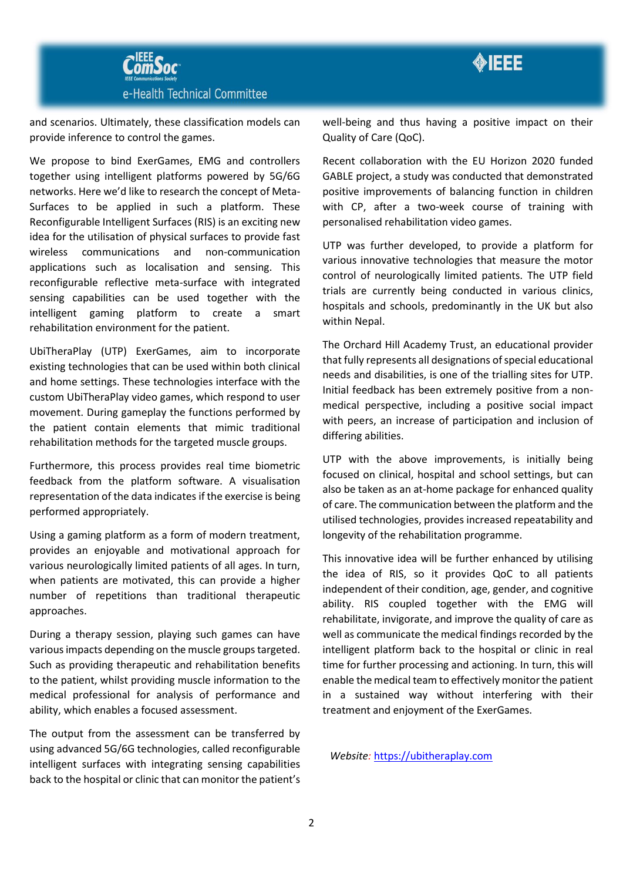



and scenarios. Ultimately, these classification models can provide inference to control the games.

We propose to bind ExerGames, EMG and controllers together using intelligent platforms powered by 5G/6G networks. Here we'd like to research the concept of Meta-Surfaces to be applied in such a platform. These Reconfigurable Intelligent Surfaces (RIS) is an exciting new idea for the utilisation of physical surfaces to provide fast wireless communications and non-communication applications such as localisation and sensing. This reconfigurable reflective meta-surface with integrated sensing capabilities can be used together with the intelligent gaming platform to create a smart rehabilitation environment for the patient.

UbiTheraPlay (UTP) ExerGames, aim to incorporate existing technologies that can be used within both clinical and home settings. These technologies interface with the custom UbiTheraPlay video games, which respond to user movement. During gameplay the functions performed by the patient contain elements that mimic traditional rehabilitation methods for the targeted muscle groups.

Furthermore, this process provides real time biometric feedback from the platform software. A visualisation representation of the data indicates if the exercise is being performed appropriately.

Using a gaming platform as a form of modern treatment, provides an enjoyable and motivational approach for various neurologically limited patients of all ages. In turn, when patients are motivated, this can provide a higher number of repetitions than traditional therapeutic approaches.

During a therapy session, playing such games can have various impacts depending on the muscle groups targeted. Such as providing therapeutic and rehabilitation benefits to the patient, whilst providing muscle information to the medical professional for analysis of performance and ability, which enables a focused assessment.

The output from the assessment can be transferred by using advanced 5G/6G technologies, called reconfigurable intelligent surfaces with integrating sensing capabilities back to the hospital or clinic that can monitor the patient's well-being and thus having a positive impact on their Quality of Care (QoC).

Recent collaboration with the EU Horizon 2020 funded GABLE project, a study was conducted that demonstrated positive improvements of balancing function in children with CP, after a two-week course of training with personalised rehabilitation video games.

UTP was further developed, to provide a platform for various innovative technologies that measure the motor control of neurologically limited patients. The UTP field trials are currently being conducted in various clinics, hospitals and schools, predominantly in the UK but also within Nepal.

The Orchard Hill Academy Trust, an educational provider that fully represents all designations of special educational needs and disabilities, is one of the trialling sites for UTP. Initial feedback has been extremely positive from a nonmedical perspective, including a positive social impact with peers, an increase of participation and inclusion of differing abilities.

UTP with the above improvements, is initially being focused on clinical, hospital and school settings, but can also be taken as an at-home package for enhanced quality of care. The communication between the platform and the utilised technologies, provides increased repeatability and longevity of the rehabilitation programme.

This innovative idea will be further enhanced by utilising the idea of RIS, so it provides QoC to all patients independent of their condition, age, gender, and cognitive ability. RIS coupled together with the EMG will rehabilitate, invigorate, and improve the quality of care as well as communicate the medical findings recorded by the intelligent platform back to the hospital or clinic in real time for further processing and actioning. In turn, this will enable the medical team to effectively monitor the patient in a sustained way without interfering with their treatment and enjoyment of the ExerGames.

*Website:* [https://ubitheraplay.com](https://ubitheraplay.com/)